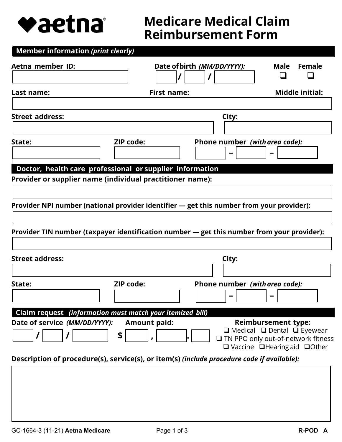

# **Medicare Medical Claim Reimbursement Form**

| <b>Member information (print clearly)</b>                                                  |                     |                             |                                |                            |                                                                                                                                       |
|--------------------------------------------------------------------------------------------|---------------------|-----------------------------|--------------------------------|----------------------------|---------------------------------------------------------------------------------------------------------------------------------------|
| Aetna member ID:                                                                           |                     | Date of birth (MM/DD/YYYY): |                                | Male                       | <b>Female</b>                                                                                                                         |
|                                                                                            |                     |                             |                                |                            |                                                                                                                                       |
| Last name:                                                                                 |                     | <b>First name:</b>          |                                |                            | <b>Middle initial:</b>                                                                                                                |
| <b>Street address:</b>                                                                     |                     |                             | City:                          |                            |                                                                                                                                       |
|                                                                                            |                     |                             |                                |                            |                                                                                                                                       |
| State:                                                                                     | <b>ZIP code:</b>    |                             | Phone number (with area code): |                            |                                                                                                                                       |
| Doctor, health care professional or supplier information                                   |                     |                             |                                |                            |                                                                                                                                       |
| Provider or supplier name (individual practitioner name):                                  |                     |                             |                                |                            |                                                                                                                                       |
|                                                                                            |                     |                             |                                |                            |                                                                                                                                       |
| Provider NPI number (national provider identifier - get this number from your provider):   |                     |                             |                                |                            |                                                                                                                                       |
| Provider TIN number (taxpayer identification number - get this number from your provider): |                     |                             |                                |                            |                                                                                                                                       |
| <b>Street address:</b>                                                                     |                     |                             | City:                          |                            |                                                                                                                                       |
|                                                                                            |                     |                             |                                |                            |                                                                                                                                       |
| State:                                                                                     | <b>ZIP code:</b>    |                             | Phone number (with area code): |                            |                                                                                                                                       |
| Claim request (information must match your itemized bill)                                  |                     |                             |                                |                            |                                                                                                                                       |
| Date of service (MM/DD/YYYY):                                                              | <b>Amount paid:</b> |                             |                                | <b>Reimbursement type:</b> |                                                                                                                                       |
|                                                                                            | \$                  |                             |                                |                            | $\Box$ Medical $\Box$ Dental $\Box$ Eyewear<br>□ TN PPO only out-of-network fitness<br>$\Box$ Vaccine $\Box$ Hearing aid $\Box$ Other |
| Description of procedure(s), service(s), or item(s) (include procedure code if available): |                     |                             |                                |                            |                                                                                                                                       |
|                                                                                            |                     |                             |                                |                            |                                                                                                                                       |
|                                                                                            |                     |                             |                                |                            |                                                                                                                                       |
|                                                                                            |                     |                             |                                |                            |                                                                                                                                       |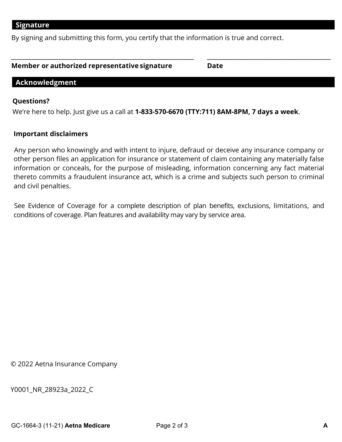By signing and submitting this form, you certify that the information is true and correct.

| Member or authorized representative signature | <b>Date</b> |
|-----------------------------------------------|-------------|
|                                               |             |

**\_\_\_\_\_\_\_\_\_\_\_\_\_\_\_\_\_\_\_\_\_\_\_\_\_\_\_\_\_\_\_\_\_\_\_\_\_\_\_\_\_\_\_\_\_\_\_\_\_\_\_\_\_\_\_\_\_\_\_\_\_\_\_\_\_ \_\_\_\_\_\_\_\_\_\_\_\_\_\_\_\_\_\_\_\_\_\_\_\_\_\_\_\_\_\_\_\_\_\_\_\_\_\_\_\_\_\_\_\_** 

# **Acknowledgment**

### **Questions?**

We're here to help. Just give us a call at **1-833-570-6670 (TTY:711) 8AM-8PM, 7 days a week**.

#### **Important disclaimers**

Any person who knowingly and with intent to injure, defraud or deceive any insurance company or other person files an application for insurance or statement of claim containing any materially false information or conceals, for the purpose of misleading, information concerning any fact material thereto commits a fraudulent insurance act, which is a crime and subjects such person to criminal and civil penalties.

 See Evidence of Coverage for a complete description of plan benefits, exclusions, limitations, and conditions of coverage. Plan features and availability may vary by service area.

© 2022 Aetna Insurance Company

Y0001\_NR\_28923a\_2022\_C